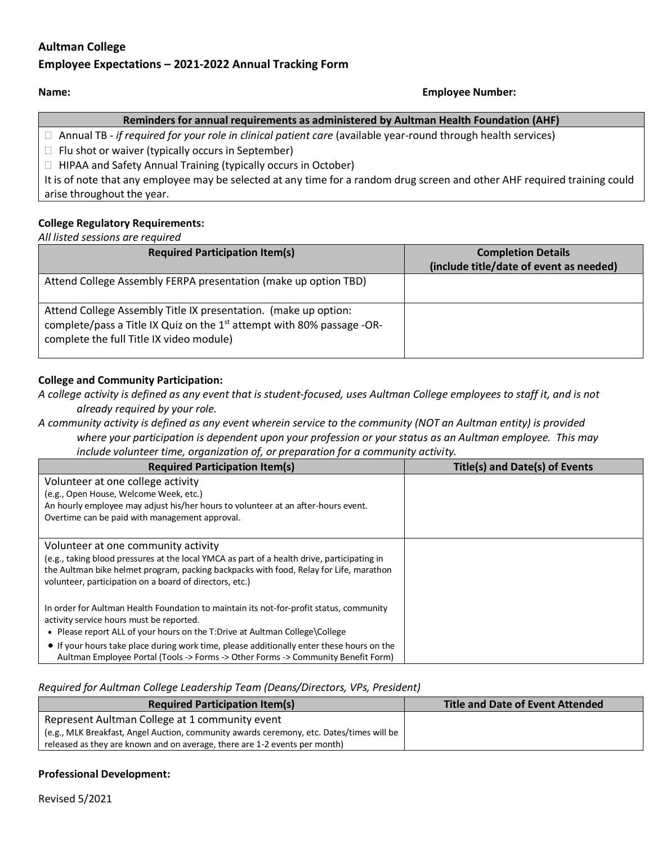# **Aultman College**

# **Employee Expectations – 2021-2022 Annual Tracking Form**

#### **Name: Employee Number:**

## **Reminders for annual requirements as administered by Aultman Health Foundation (AHF)**

Annual TB - *if required for your role in clinical patient care* (available year-round through health services)

 $\Box$  Flu shot or waiver (typically occurs in September)

 $\Box$  HIPAA and Safety Annual Training (typically occurs in October)

It is of note that any employee may be selected at any time for a random drug screen and other AHF required training could arise throughout the year.

## **College Regulatory Requirements:**

*All listed sessions are required* 

| <b>Required Participation Item(s)</b>                                                                                                                                                             | <b>Completion Details</b><br>(include title/date of event as needed) |
|---------------------------------------------------------------------------------------------------------------------------------------------------------------------------------------------------|----------------------------------------------------------------------|
| Attend College Assembly FERPA presentation (make up option TBD)                                                                                                                                   |                                                                      |
| Attend College Assembly Title IX presentation. (make up option:<br>complete/pass a Title IX Quiz on the 1 <sup>st</sup> attempt with 80% passage -OR-<br>complete the full Title IX video module) |                                                                      |

## **College and Community Participation:**

*A college activity is defined as any event that is student-focused, uses Aultman College employees to staff it, and is not already required by your role.*

*A community activity is defined as any event wherein service to the community (NOT an Aultman entity) is provided where your participation is dependent upon your profession or your status as an Aultman employee. This may include volunteer time, organization of, or preparation for a community activity.*

| <b>Required Participation Item(s)</b>                                                                                                             | <b>Title(s) and Date(s) of Events</b> |
|---------------------------------------------------------------------------------------------------------------------------------------------------|---------------------------------------|
| Volunteer at one college activity                                                                                                                 |                                       |
| (e.g., Open House, Welcome Week, etc.)                                                                                                            |                                       |
| An hourly employee may adjust his/her hours to volunteer at an after-hours event.                                                                 |                                       |
| Overtime can be paid with management approval.                                                                                                    |                                       |
|                                                                                                                                                   |                                       |
| Volunteer at one community activity                                                                                                               |                                       |
| (e.g., taking blood pressures at the local YMCA as part of a health drive, participating in                                                       |                                       |
| the Aultman bike helmet program, packing backpacks with food, Relay for Life, marathon<br>volunteer, participation on a board of directors, etc.) |                                       |
|                                                                                                                                                   |                                       |
| In order for Aultman Health Foundation to maintain its not-for-profit status, community                                                           |                                       |
| activity service hours must be reported.                                                                                                          |                                       |
| • Please report ALL of your hours on the T:Drive at Aultman College\College                                                                       |                                       |
| • If your hours take place during work time, please additionally enter these hours on the                                                         |                                       |
| Aultman Employee Portal (Tools -> Forms -> Other Forms -> Community Benefit Form)                                                                 |                                       |

#### *Required for Aultman College Leadership Team (Deans/Directors, VPs, President)*

| <b>Required Participation Item(s)</b>                                                    | <b>Title and Date of Event Attended</b> |
|------------------------------------------------------------------------------------------|-----------------------------------------|
| Represent Aultman College at 1 community event                                           |                                         |
| (e.g., MLK Breakfast, Angel Auction, community awards ceremony, etc. Dates/times will be |                                         |
| released as they are known and on average, there are 1-2 events per month)               |                                         |

#### **Professional Development:**